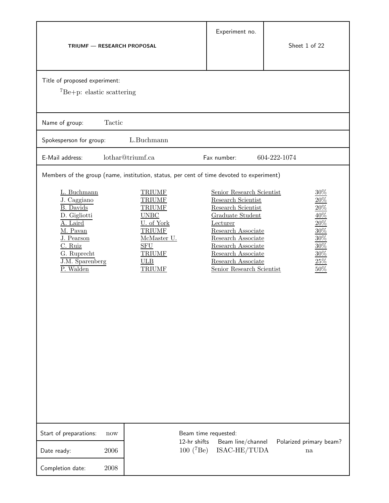| TRIUMF - RESEARCH PROPOSAL                                                                                                                                                                                                                                                                                                                                                                                                         | Experiment no.                                                                                                                                                                                                                                   | Sheet 1 of 22                                                                                  |
|------------------------------------------------------------------------------------------------------------------------------------------------------------------------------------------------------------------------------------------------------------------------------------------------------------------------------------------------------------------------------------------------------------------------------------|--------------------------------------------------------------------------------------------------------------------------------------------------------------------------------------------------------------------------------------------------|------------------------------------------------------------------------------------------------|
| Title of proposed experiment:<br>${}^{7}Be+p$ : elastic scattering                                                                                                                                                                                                                                                                                                                                                                 |                                                                                                                                                                                                                                                  |                                                                                                |
| Tactic<br>Name of group:                                                                                                                                                                                                                                                                                                                                                                                                           |                                                                                                                                                                                                                                                  |                                                                                                |
| L.Buchmann<br>Spokesperson for group:                                                                                                                                                                                                                                                                                                                                                                                              |                                                                                                                                                                                                                                                  |                                                                                                |
| lothar@triumf.ca<br>E-Mail address:                                                                                                                                                                                                                                                                                                                                                                                                | Fax number:                                                                                                                                                                                                                                      | 604-222-1074                                                                                   |
| Members of the group (name, institution, status, per cent of time devoted to experiment)<br>L. Buchmann<br><b>TRIUMF</b><br>J. Caggiano<br><b>TRIUMF</b><br><b>B.</b> Davids<br><b>TRIUMF</b><br>D. Gigliotti<br><b>UNBC</b><br>U. of York<br>A. Laird<br>M. Pavan<br><b>TRIUMF</b><br>J. Pearson<br>McMaster U.<br>${\rm SFU}$<br>C. Ruiz<br>G. Ruprecht<br><b>TRIUMF</b><br>J.M. Sparenberg<br>ULB<br><b>TRIUMF</b><br>P. Walden | Senior Research Scientist<br>Research Scientist<br>Research Scientist<br>Graduate Student<br>Lecturer<br>Research Associate<br>Research Associate<br>Research Associate<br>Research Associate<br>Research Associate<br>Senior Research Scientist | $30\%$<br>20%<br>$20\%$<br>$40\%$<br>$20\%$<br>30%<br>30%<br>$30\%$<br>$30\%$<br>25%<br>$50\%$ |
| Start of preparations:<br>now<br>12-hr shifts<br>$100~(^{7}Be)$<br>2006<br>Date ready:<br>2008<br>Completion date:                                                                                                                                                                                                                                                                                                                 | Beam time requested:<br>Beam line/channel<br>ISAC-HE/TUDA                                                                                                                                                                                        | Polarized primary beam?<br>na                                                                  |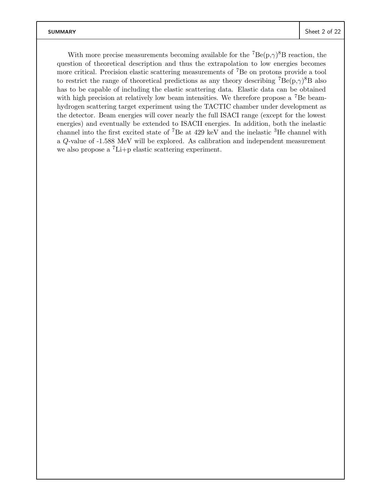With more precise measurements becoming available for the  $^7Be(p,\gamma)^8B$  reaction, the question of theoretical description and thus the extrapolation to low energies becomes more critical. Precision elastic scattering measurements of <sup>7</sup>Be on protons provide a tool to restrict the range of theoretical predictions as any theory describing  $^7Be(p,\gamma)^8B$  also has to be capable of including the elastic scattering data. Elastic data can be obtained with high precision at relatively low beam intensities. We therefore propose a <sup>7</sup>Be beamhydrogen scattering target experiment using the TACTIC chamber under development as the detector. Beam energies will cover nearly the full ISACI range (except for the lowest energies) and eventually be extended to ISACII energies. In addition, both the inelastic channel into the first excited state of <sup>7</sup>Be at 429 keV and the inelastic <sup>3</sup>He channel with a Q-value of -1.588 MeV will be explored. As calibration and independent measurement we also propose a <sup>7</sup>Li+p elastic scattering experiment.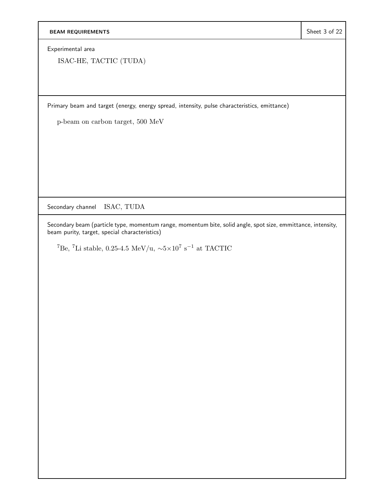Experimental area

ISAC-HE, TACTIC (TUDA)

Primary beam and target (energy, energy spread, intensity, pulse characteristics, emittance)

p-beam on carbon target, 500 MeV

Secondary channel ISAC, TUDA

Secondary beam (particle type, momentum range, momentum bite, solid angle, spot size, emmittance, intensity, beam purity, target, special characteristics)

<sup>7</sup>Be, <sup>7</sup>Li stable, 0.25-4.5 MeV/u, <sup>∼</sup>5×10<sup>7</sup> <sup>s</sup>−<sup>1</sup> at TACTIC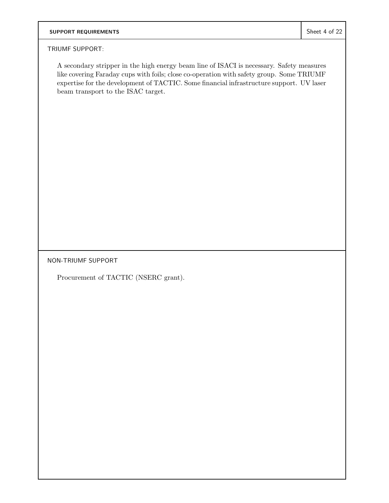# **SUPPORT REQUIREMENTS** Superintendent Sheet 4 of 22

## TRIUMF SUPPORT:

A secondary stripper in the high energy beam line of ISACI is necessary. Safety measures like covering Faraday cups with foils; close co-operation with safety group. Some TRIUMF expertise for the development of TACTIC. Some financial infrastructure support. UV laser beam transport to the ISAC target.

NON-TRIUMF SUPPORT

Procurement of TACTIC (NSERC grant).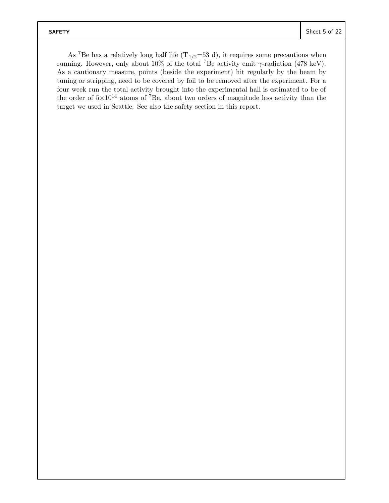As <sup>7</sup>Be has a relatively long half life  $(T_{1/2}$ =53 d), it requires some precautions when running. However, only about 10% of the total <sup>7</sup>Be activity emit  $\gamma$ -radiation (478 keV). As a cautionary measure, points (beside the experiment) hit regularly by the beam by tuning or stripping, need to be covered by foil to be removed after the experiment. For a four week run the total activity brought into the experimental hall is estimated to be of the order of  $5\times10^{14}$  atoms of <sup>7</sup>Be, about two orders of magnitude less activity than the target we used in Seattle. See also the safety section in this report.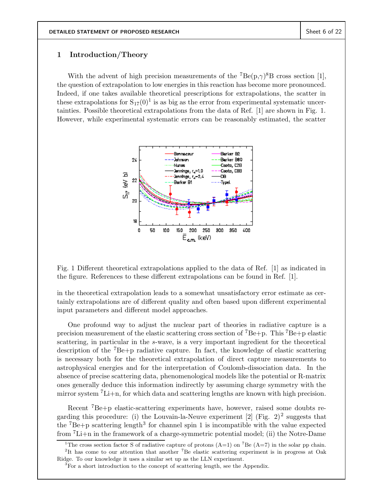## **1 Introduction/Theory**

With the advent of high precision measurements of the  $^7Be(p,\gamma)^8B$  cross section [1], the question of extrapolation to low energies in this reaction has become more pronounced. Indeed, if one takes available theoretical prescriptions for extrapolations, the scatter in these extrapolations for  $S_{17}(0)^1$  is as big as the error from experimental systematic uncertainties. Possible theoretical extrapolations from the data of Ref. [1] are shown in Fig. 1. However, while experimental systematic errors can be reasonably estimated, the scatter



Fig. 1 Different theoretical extrapolations applied to the data of Ref. [1] as indicated in the figure. References to these different extrapolations can be found in Ref. [1].

in the theoretical extrapolation leads to a somewhat unsatisfactory error estimate as certainly extrapolations are of different quality and often based upon different experimental input parameters and different model approaches.

One profound way to adjust the nuclear part of theories in radiative capture is a precision measurement of the elastic scattering cross section of <sup>7</sup>Be+p. This <sup>7</sup>Be+p elastic scattering, in particular in the s-wave, is a very important ingredient for the theoretical description of the  ${}^{7}Be+p$  radiative capture. In fact, the knowledge of elastic scattering is necessary both for the theoretical extrapolation of direct capture measurements to astrophysical energies and for the interpretation of Coulomb-dissociation data. In the absence of precise scattering data, phenomenological models like the potential or R-matrix ones generally deduce this information indirectly by assuming charge symmetry with the mirror system <sup>7</sup>Li+n, for which data and scattering lengths are known with high precision.

Recent <sup>7</sup>Be+p elastic-scattering experiments have, however, raised some doubts regarding this procedure: (i) the Louvain-la-Neuve experiment [2] (Fig. 2)<sup>2</sup> suggests that the  ${}^{7}Be+p$  scattering length<sup>3</sup> for channel spin 1 is incompatible with the value expected from <sup>7</sup>Li+n in the framework of a charge-symmetric potential model; (ii) the Notre-Dame

<sup>&</sup>lt;sup>1</sup>The cross section factor S of radiative capture of protons  $(A=1)$  on <sup>7</sup>Be  $(A=7)$  in the solar pp chain. <sup>2</sup>It has come to our attention that another <sup>7</sup>Be elastic scattering experiment is in progress at Oak

Ridge. To our knowledge it uses a similar set up as the LLN experiment.

<sup>&</sup>lt;sup>3</sup>For a short introduction to the concept of scattering length, see the Appendix.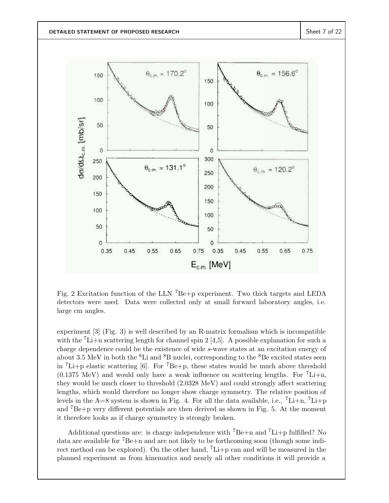

Fig. 2 Excitation function of the LLN  ${}^{7}Be+p$  experiment. Two thick targets and LEDA detectors were used. Data were collected only at small forward laboratory angles, i.e. large cm angles.

experiment  $[3]$  (Fig. 3) is well described by an R-matrix formalism which is incompatible with the  ${}^{7}$ Li+n scattering length for channel spin 2 [4,5]. A possible explanation for such a charge dependence could be the existence of wide s-wave states at an excitation energy of about 3.5 MeV in both the  ${}^{8}$ Li and  ${}^{8}$ B nuclei, corresponding to the  ${}^{8}$ Be excited states seen in <sup>7</sup>Li+p elastic scattering [6]. For <sup>7</sup>Be+p, these states would be much above threshold  $(0.1375 \text{ MeV})$  and would only have a weak influence on scattering lengths. For  $\mathrm{L}^7$ -Li+n, they would be much closer to threshold (2.0328 MeV) and could strongly affect scattering lengths, which would therefore no longer show charge symmetry. The relative position of levels in the A=8 system is shown in Fig. 4. For all the data available, i.e.,  ${}^{7}$ Li+n,  ${}^{7}$ Li+p and  ${}^{7}Be+p$  very different potentials are then derived as shown in Fig. 5. At the moment it therefore looks as if charge symmetry is strongly broken.

Additional questions are: is charge independence with <sup>7</sup>Be+n and <sup>7</sup>Li+p fulfilled? No data are available for  ${}^{7}Be+n$  and are not likely to be forthcoming soon (though some indirect method can be explored). On the other hand,  ${}^{7}$ Li+p can and will be measured in the planned experiment as from kinematics and nearly all other conditions it will provide a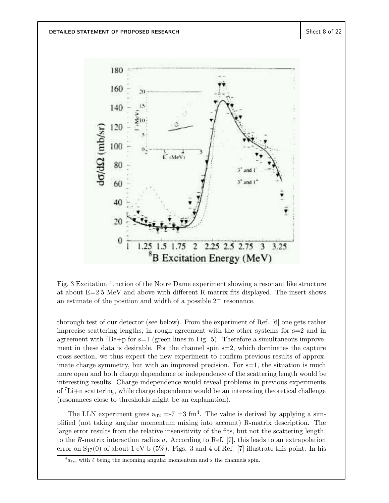

Fig. 3 Excitation function of the Notre Dame experiment showing a resonant like structure at about E=2.5 MeV and above with different R-matrix fits displayed. The insert shows an estimate of the position and width of a possible 2− resonance.

thorough test of our detector (see below). From the experiment of Ref. [6] one gets rather imprecise scattering lengths, in rough agreement with the other systems for s=2 and in agreement with <sup>7</sup>Be+p for s=1 (green lines in Fig. 5). Therefore a simultaneous improvement in these data is desirable. For the channel spin  $s=2$ , which dominates the capture cross section, we thus expect the new experiment to confirm previous results of approximate charge symmetry, but with an improved precision. For  $s=1$ , the situation is much more open and both charge dependence or independence of the scattering length would be interesting results. Charge independence would reveal problems in previous experiments of  ${}^{7}$ Li+n scattering, while charge dependence would be an interesting theoretical challenge (resonances close to thresholds might be an explanation).

The LLN experiment gives  $a_{02} = -7 \pm 3$  fm<sup>4</sup>. The value is derived by applying a simplified (not taking angular momentum mixing into account) R-matrix description. The large error results from the relative insensitivity of the fits, but not the scattering length, to the R-matrix interaction radius a. According to Ref. [7], this leads to an extrapolation error on  $S_{17}(0)$  of about 1 eV b (5%). Figs. 3 and 4 of Ref. [7] illustrate this point. In his

 ${}^4a_{\ell s}$ , with  $\ell$  being the incoming angular momentum and s the channels spin.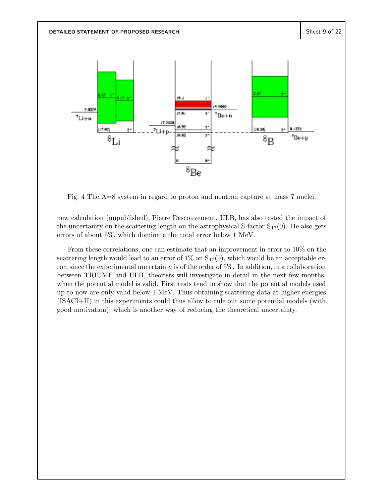

Fig. 4 The A=8 system in regard to proton and neutron capture at mass 7 nuclei.

new calculation (unpublished), Pierre Descouvement, ULB, has also tested the impact of the uncertainty on the scattering length on the astrophysical S-factor  $S_{17}(0)$ . He also gets errors of about 5%, which dominate the total error below 1 MeV.

From these correlations, one can estimate that an improvement in error to 10% on the scattering length would lead to an error of  $1\%$  on  $S_{17}(0)$ , which would be an acceptable error, since the experimental uncertainty is of the order of 5%. In addition, in a collaboration between TRIUMF and ULB, theorists will investigate in detail in the next few months, when the potential model is valid. First tests tend to show that the potential models used up to now are only valid below 1 MeV. Thus obtaining scattering data at higher energies (ISACI+II) in this experiments could thus allow to rule out some potential models (with good motivation), which is another way of reducing the theoretical uncertainty.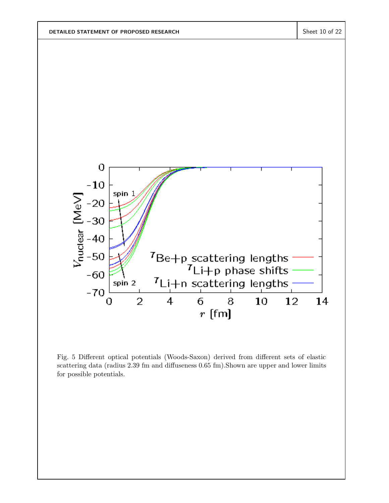

Fig. 5 Different optical potentials (Woods-Saxon) derived from different sets of elastic scattering data (radius 2.39 fm and diffuseness 0.65 fm).Shown are upper and lower limits for possible potentials.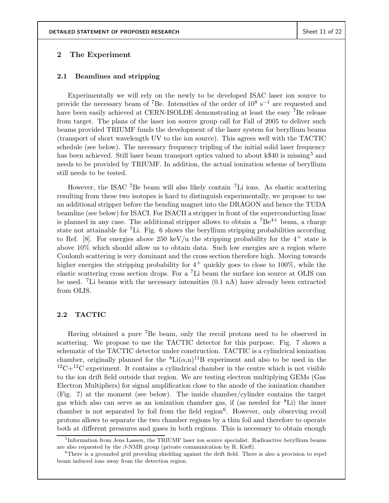### **2 The Experiment**

### **2.1 Beamlines and stripping**

Experimentally we will rely on the newly to be developed ISAC laser ion source to provide the necessary beam of <sup>7</sup>Be. Intensities of the order of  $10^8$  s<sup>-1</sup> are requested and have been easily achieved at CERN-ISOLDE demonstrating at least the easy <sup>7</sup>Be release from target. The plans of the laser ion source group call for Fall of 2005 to deliver such beams provided TRIUMF funds the development of the laser system for beryllium beams (transport of short wavelength UV to the ion source). This agrees well with the TACTIC schedule (see below). The necessary frequency tripling of the initial solid laser frequency has been achieved. Still laser beam transport optics valued to about k\$40 is missing<sup>5</sup> and needs to be provided by TRIUMF. In addition, the actual ionization scheme of beryllium still needs to be tested.

However, the ISAC <sup>7</sup>Be beam will also likely contain <sup>7</sup>Li ions. As elastic scattering resulting from these two isotopes is hard to distinguish experimentally, we propose to use an additional stripper before the bending magnet into the DRAGON and hence the TUDA beamline (see below) for ISACI. For ISACII a stripper in front of the superconducting linac is planned in any case. The additional stripper allows to obtain a  ${}^{7}Be^{4+}$  beam, a charge state not attainable for  ${}^{7}$ Li. Fig. 6 shows the beryllium stripping probabilities according to Ref. [8]. For energies above 250 keV/u the stripping probability for the  $4^+$  state is above 10% which should allow us to obtain data. Such low energies are a region where Coulomb scattering is very dominant and the cross section therefore high. Moving towards higher energies the stripping probability for  $4^+$  quickly goes to close to 100%, while the elastic scattering cross section drops. For a <sup>7</sup>Li beam the surface ion source at OLIS can be used. <sup>7</sup>Li beams with the necessary intensities (0.1 nA) have already been extracted from OLIS.

### **2.2 TACTIC**

Having obtained a pure <sup>7</sup>Be beam, only the recoil protons need to be observed in scattering. We propose to use the TACTIC detector for this purpose. Fig. 7 shows a schematic of the TACTIC detector under construction. TACTIC is a cylindrical ionization chamber, originally planned for the  ${}^{8}Li(\alpha,n){}^{11}B$  experiment and also to be used in the  ${}^{12}C+{}^{12}C$  experiment. It contains a cylindrical chamber in the centre which is not visible to the ion drift field outside that region. We are testing electron multiplying GEMs (Gas Electron Multipliers) for signal amplification close to the anode of the ionization chamber (Fig. 7) at the moment (see below). The inside chamber/cylinder contains the target gas which also can serve as an ionization chamber gas, if (as needed for <sup>8</sup>Li) the inner chamber is not separated by foil from the field region<sup>6</sup>. However, only observing recoil protons allows to separate the two chamber regions by a thin foil and therefore to operate both at different pressures and gases in both regions. This is necessary to obtain enough

<sup>&</sup>lt;sup>5</sup>Information from Jens Lassen, the TRIUMF laser ion source specialist. Radioactive beryllium beams are also requested by the  $\beta$ -NMR group (private communication by R. Kiefl).

<sup>&</sup>lt;sup>6</sup>There is a grounded grid providing shielding against the drift field. There is also a provision to repel beam induced ions away from the detection region.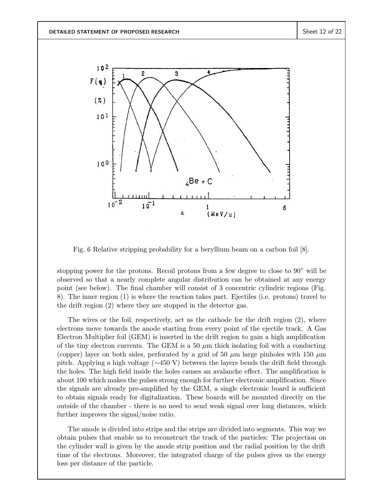

Fig. 6 Relative stripping probability for a beryllium beam on a carbon foil [8].

stopping power for the protons. Recoil protons from a few degree to close to  $90°$  will be observed so that a nearly complete angular distribution can be obtained at any energy point (see below). The final chamber will consist of 3 concentric cylindric regions (Fig. 8). The inner region (1) is where the reaction takes part. Ejectiles (i.e. protons) travel to the drift region (2) where they are stopped in the detector gas.

The wires or the foil, respectively, act as the cathode for the drift region  $(2)$ , where electrons move towards the anode starting from every point of the ejectile track. A Gas Electron Multiplier foil (GEM) is inserted in the drift region to gain a high amplification of the tiny electron currents. The GEM is a 50  $\mu$ m thick isolating foil with a conducting (copper) layer on both sides, perforated by a grid of 50  $\mu$ m large pinholes with 150  $\mu$ m pitch. Applying a high voltage (∼450 V) between the layers bends the drift field through the holes. The high field inside the holes causes an avalanche effect. The amplification is about 100 which makes the pulses strong enough for further electronic amplification. Since the signals are already pre-amplified by the GEM, a single electronic board is sufficient to obtain signals ready for digitalization. These boards will be mounted directly on the outside of the chamber - there is no need to send weak signal over long distances, which further improves the signal/noise ratio.

The anode is divided into strips and the strips are divided into segments. This way we obtain pulses that enable us to reconstruct the track of the particles: The projection on the cylinder wall is given by the anode strip position and the radial position by the drift time of the electrons. Moreover, the integrated charge of the pulses gives us the energy loss per distance of the particle.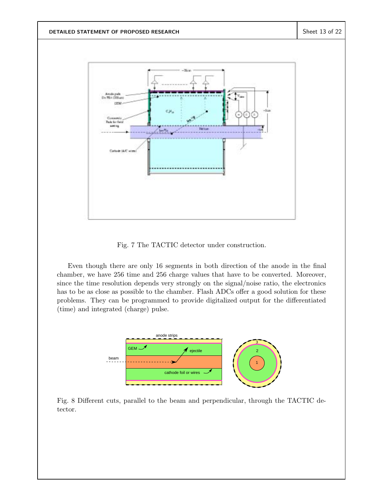

Fig. 7 The TACTIC detector under construction.

Even though there are only 16 segments in both direction of the anode in the final chamber, we have 256 time and 256 charge values that have to be converted. Moreover, since the time resolution depends very strongly on the signal/noise ratio, the electronics has to be as close as possible to the chamber. Flash ADCs offer a good solution for these problems. They can be programmed to provide digitalized output for the differentiated (time) and integrated (charge) pulse.



Fig. 8 Different cuts, parallel to the beam and perpendicular, through the TACTIC detector.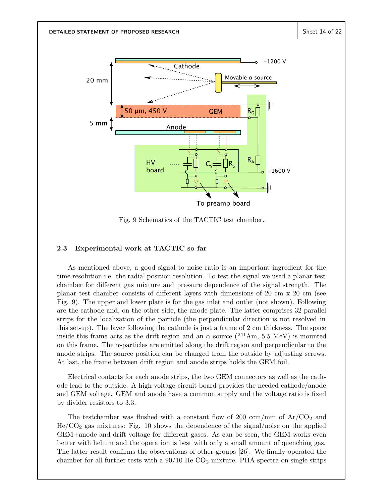

Fig. 9 Schematics of the TACTIC test chamber.

# **2.3 Experimental work at TACTIC so far**

As mentioned above, a good signal to noise ratio is an important ingredient for the time resolution i.e. the radial position resolution. To test the signal we used a planar test chamber for different gas mixture and pressure dependence of the signal strength. The planar test chamber consists of different layers with dimensions of 20 cm x 20 cm (see Fig. 9). The upper and lower plate is for the gas inlet and outlet (not shown). Following are the cathode and, on the other side, the anode plate. The latter comprises 32 parallel strips for the localization of the particle (the perpendicular direction is not resolved in this set-up). The layer following the cathode is just a frame of 2 cm thickness. The space inside this frame acts as the drift region and an  $\alpha$  source (<sup>241</sup>Am, 5.5 MeV) is mounted on this frame. The  $\alpha$ -particles are emitted along the drift region and perpendicular to the anode strips. The source position can be changed from the outside by adjusting screws. At last, the frame between drift region and anode strips holds the GEM foil.

Electrical contacts for each anode strips, the two GEM connectors as well as the cathode lead to the outside. A high voltage circuit board provides the needed cathode/anode and GEM voltage. GEM and anode have a common supply and the voltage ratio is fixed by divider resistors to 3.3.

The testchamber was flushed with a constant flow of 200 ccm/min of  $Ar/CO<sub>2</sub>$  and  $He/CO<sub>2</sub>$  gas mixtures: Fig. 10 shows the dependence of the signal/noise on the applied GEM+anode and drift voltage for different gases. As can be seen, the GEM works even better with helium and the operation is best with only a small amount of quenching gas. The latter result confirms the observations of other groups [26]. We finally operated the chamber for all further tests with a  $90/10$  He-CO<sub>2</sub> mixture. PHA spectra on single strips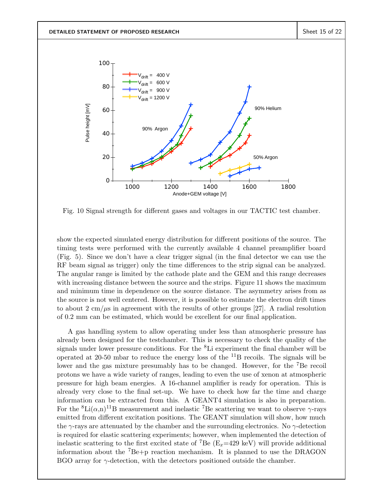

Fig. 10 Signal strength for different gases and voltages in our TACTIC test chamber.

show the expected simulated energy distribution for different positions of the source. The timing tests were performed with the currently available 4 channel preamplifier board (Fig. 5). Since we don't have a clear trigger signal (in the final detector we can use the RF beam signal as trigger) only the time differences to the strip signal can be analyzed. The angular range is limited by the cathode plate and the GEM and this range decreases with increasing distance between the source and the strips. Figure 11 shows the maximum and minimum time in dependence on the source distance. The asymmetry arises from as the source is not well centered. However, it is possible to estimate the electron drift times to about 2 cm/ $\mu$ s in agreement with the results of other groups [27]. A radial resolution of 0.2 mm can be estimated, which would be excellent for our final application.

A gas handling system to allow operating under less than atmospheric pressure has already been designed for the testchamber. This is necessary to check the quality of the signals under lower pressure conditions. For the <sup>8</sup>Li experiment the final chamber will be operated at 20-50 mbar to reduce the energy loss of the  $^{11}B$  recoils. The signals will be lower and the gas mixture presumably has to be changed. However, for the <sup>7</sup>Be recoil protons we have a wide variety of ranges, leading to even the use of xenon at atmospheric pressure for high beam energies. A 16-channel amplifier is ready for operation. This is already very close to the final set-up. We have to check how far the time and charge information can be extracted from this. A GEANT4 simulation is also in preparation. For the <sup>8</sup>Li( $\alpha$ ,n)<sup>11</sup>B measurement and inelastic <sup>7</sup>Be scattering we want to observe  $\gamma$ -rays emitted from different excitation positions. The GEANT simulation will show, how much the  $\gamma$ -rays are attenuated by the chamber and the surrounding electronics. No  $\gamma$ -detection is required for elastic scattering experiments; however, when implemented the detection of inelastic scattering to the first excited state of <sup>7</sup>Be ( $E_x=429$  keV) will provide additional information about the  ${}^{7}Be+p$  reaction mechanism. It is planned to use the DRAGON BGO array for  $\gamma$ -detection, with the detectors positioned outside the chamber.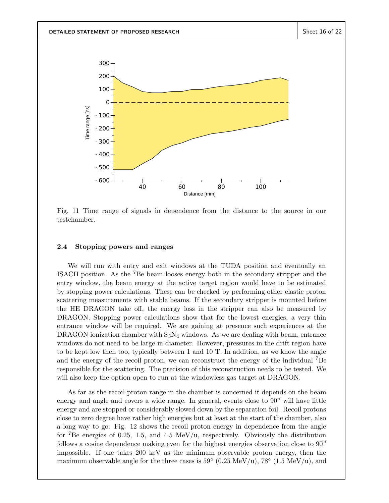

Fig. 11 Time range of signals in dependence from the distance to the source in our testchamber.

#### **2.4 Stopping powers and ranges**

We will run with entry and exit windows at the TUDA position and eventually an ISACII position. As the <sup>7</sup>Be beam looses energy both in the secondary stripper and the entry window, the beam energy at the active target region would have to be estimated by stopping power calculations. These can be checked by performing other elastic proton scattering measurements with stable beams. If the secondary stripper is mounted before the HE DRAGON take off, the energy loss in the stripper can also be measured by DRAGON. Stopping power calculations show that for the lowest energies, a very thin entrance window will be required. We are gaining at presence such experiences at the DRAGON ionization chamber with  $S_3N_4$  windows. As we are dealing with beam, entrance windows do not need to be large in diameter. However, pressures in the drift region have to be kept low then too, typically between 1 and 10 T. In addition, as we know the angle and the energy of the recoil proton, we can reconstruct the energy of the individual  ${}^{7}Be$ responsible for the scattering. The precision of this reconstruction needs to be tested. We will also keep the option open to run at the windowless gas target at DRAGON.

As far as the recoil proton range in the chamber is concerned it depends on the beam energy and angle and covers a wide range. In general, events close to 90◦ will have little energy and are stopped or considerably slowed down by the separation foil. Recoil protons close to zero degree have rather high energies but at least at the start of the chamber, also a long way to go. Fig. 12 shows the recoil proton energy in dependence from the angle for <sup>7</sup>Be energies of 0.25, 1.5, and 4.5 MeV/u, respectively. Obviously the distribution follows a cosine dependence making even for the highest energies observation close to 90° impossible. If one takes 200 keV as the minimum observable proton energy, then the maximum observable angle for the three cases is  $59° (0.25 \text{ MeV/u})$ ,  $78° (1.5 \text{ MeV/u})$ , and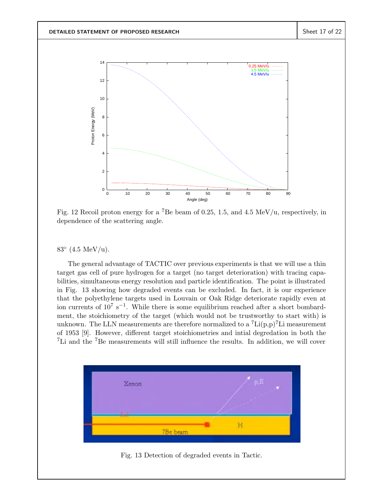

Fig. 12 Recoil proton energy for a <sup>7</sup>Be beam of 0.25, 1.5, and 4.5 MeV/u, respectively, in dependence of the scattering angle.

## $83^{\circ}$  (4.5 MeV/u).

The general advantage of TACTIC over previous experiments is that we will use a thin target gas cell of pure hydrogen for a target (no target deterioration) with tracing capabilities, simultaneous energy resolution and particle identification. The point is illustrated in Fig. 13 showing how degraded events can be excluded. In fact, it is our experience that the polyethylene targets used in Louvain or Oak Ridge deteriorate rapidly even at ion currents of  $10^7 \text{ s}^{-1}$ . While there is some equilibrium reached after a short bombardment, the stoichiometry of the target (which would not be trustworthy to start with) is unknown. The LLN measurements are therefore normalized to a  ${}^{7}\text{Li}(p,p){}^{7}\text{Li}$  measurement of 1953 [9]. However, different target stoichiometries and intial degredation in both the <sup>7</sup>Li and the <sup>7</sup>Be measurements will still influence the results. In addition, we will cover



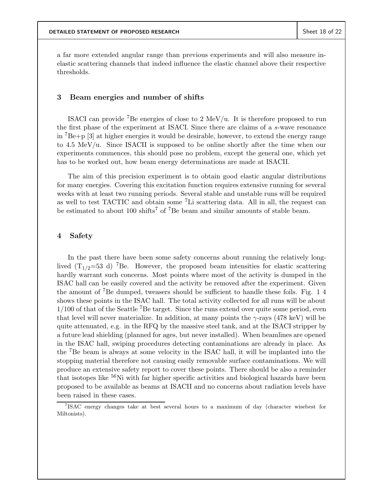a far more extended angular range than previous experiments and will also measure inelastic scattering channels that indeed influence the elastic channel above their respective thresholds.

## **3 Beam energies and number of shifts**

ISACI can provide <sup>7</sup>Be energies of close to 2 MeV/u. It is therefore proposed to run the first phase of the experiment at ISACI. Since there are claims of a s-wave resonance in  ${}^{7}Be+p$  [3] at higher energies it would be desirable, however, to extend the energy range to 4.5 MeV/u. Since ISACII is supposed to be online shortly after the time when our experiments commences, this should pose no problem, except the general one, which yet has to be worked out, how beam energy determinations are made at ISACII.

The aim of this precision experiment is to obtain good elastic angular distributions for many energies. Covering this excitation function requires extensive running for several weeks with at least two running periods. Several stable and unstable runs will be required as well to test TACTIC and obtain some <sup>7</sup>Li scattering data. All in all, the request can be estimated to about 100 shifts<sup>7</sup> of <sup>7</sup>Be beam and similar amounts of stable beam.

### **4 Safety**

In the past there have been some safety concerns about running the relatively longlived  $(T_{1/2}=53 \text{ d})$  <sup>7</sup>Be. However, the proposed beam intensities for elastic scattering hardly warrant such concerns. Most points where most of the activity is dumped in the ISAC hall can be easily covered and the activity be removed after the experiment. Given the amount of <sup>7</sup>Be dumped, tweasers should be sufficient to handle these foils. Fig. 1  $4$ shows these points in the ISAC hall. The total activity collected for all runs will be about  $1/100$  of that of the Seattle <sup>7</sup>Be target. Since the runs extend over quite some period, even that level will never materialize. In addition, at many points the  $\gamma$ -rays (478 keV) will be quite attenuated, e.g. in the RFQ by the massive steel tank, and at the ISACI stripper by a future lead shielding (planned for ages, but never installed). When beamlines are opened in the ISAC hall, swiping procedures detecting contaminations are already in place. As the <sup>7</sup>Be beam is always at some velocity in the ISAC hall, it will be implanted into the stopping material therefore not causing easily removable surface contaminations. We will produce an extensive safety report to cover these points. There should be also a reminder that isotopes like <sup>56</sup>Ni with far higher specific activities and biological hazards have been proposed to be available as beams at ISACII and no concerns about radiation levels have been raised in these cases.

<sup>7</sup>ISAC energy changes take at best several hours to a maximum of day (character wisebest for Miltonists).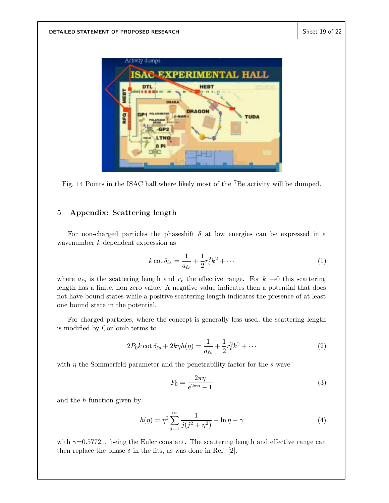

Fig. 14 Points in the ISAC hall where likely most of the <sup>7</sup>Be activity will be dumped.

# **5 Appendix: Scattering length**

For non-charged particles the phaseshift  $\delta$  at low energies can be expressed in a wavenumber  $k$  dependent expression as

$$
k \cot \delta_{\ell s} = \frac{1}{a_{\ell s}} + \frac{1}{2} r_{\ell}^2 k^2 + \cdots \tag{1}
$$

where  $a_{\ell s}$  is the scattering length and  $r_{\ell}$  the effective range. For  $k \rightarrow 0$  this scattering length has a finite, non zero value. A negative value indicates then a potential that does not have bound states while a positive scattering length indicates the presence of at least one bound state in the potential.

For charged particles, where the concept is generally less used, the scattering length is modified by Coulomb terms to

$$
2P_0k \cot \delta_{\ell s} + 2k\eta h(\eta) = \frac{1}{a_{\ell s}} + \frac{1}{2}r_{\ell}^2 k^2 + \cdots
$$
 (2)

with  $\eta$  the Sommerfeld parameter and the penetrability factor for the s wave

$$
P_0 = \frac{2\pi\eta}{e^{2\pi\eta} - 1} \tag{3}
$$

and the h-function given by

$$
h(\eta) = \eta^2 \sum_{j=1}^{\infty} \frac{1}{j(j^2 + \eta^2)} - \ln \eta - \gamma
$$
 (4)

with  $\gamma=0.5772...$  being the Euler constant. The scattering length and effective range can then replace the phase  $\delta$  in the fits, as was done in Ref. [2].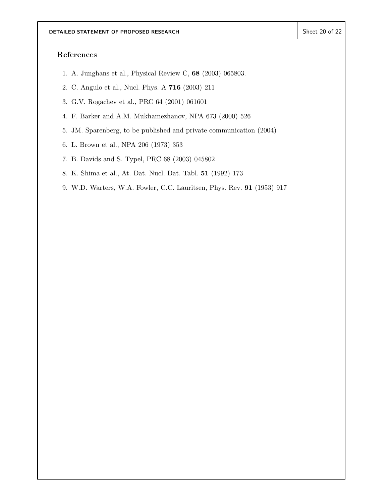# **References**

- 1. A. Junghans et al., Physical Review C, **68** (2003) 065803.
- 2. C. Angulo et al., Nucl. Phys. A **716** (2003) 211
- 3. G.V. Rogachev et al., PRC 64 (2001) 061601
- 4. F. Barker and A.M. Mukhamezhanov, NPA 673 (2000) 526
- 5. JM. Sparenberg, to be published and private communication (2004)
- 6. L. Brown et al., NPA 206 (1973) 353
- 7. B. Davids and S. Typel, PRC 68 (2003) 045802
- 8. K. Shima et al., At. Dat. Nucl. Dat. Tabl. **51** (1992) 173
- 9. W.D. Warters, W.A. Fowler, C.C. Lauritsen, Phys. Rev. **91** (1953) 917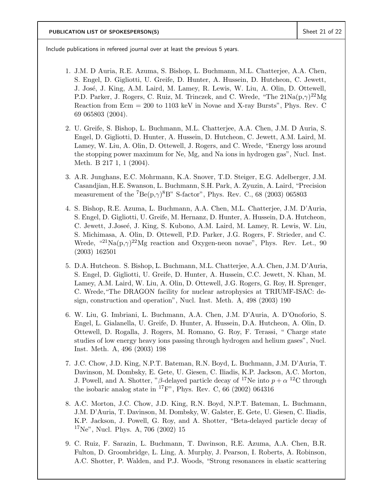Include publications in refereed journal over at least the previous 5 years.

- 1. J.M. D Auria, R.E. Azuma, S. Bishop, L. Buchmann, M.L. Chatterjee, A.A. Chen, S. Engel, D. Gigliotti, U. Greife, D. Hunter, A. Hussein, D. Hutcheon, C. Jewett, J. José, J. King, A.M. Laird, M. Lamey, R. Lewis, W. Liu, A. Olin, D. Ottewell, P.D. Parker, J. Rogers, C. Ruiz, M. Trinczek, and C. Wrede, "The  $21\text{Na}(p,\gamma)^{22}\text{Mg}$ Reaction from Ecm = 200 to 1103 keV in Novae and X-ray Bursts", Phys. Rev. C 69 065803 (2004).
- 2. U. Greife, S. Bishop, L. Buchmann, M.L. Chatterjee, A.A. Chen, J.M. D Auria, S. Engel, D. Gigliotti, D. Hunter, A. Hussein, D. Hutcheon, C. Jewett, A.M. Laird, M. Lamey, W. Liu, A. Olin, D. Ottewell, J. Rogers, and C. Wrede, "Energy loss around the stopping power maximum for Ne, Mg, and Na ions in hydrogen gas", Nucl. Inst. Meth. B 217 1, 1 (2004).
- 3. A.R. Junghans, E.C. Mohrmann, K.A. Snover, T.D. Steiger, E.G. Adelberger, J.M. Casandjian, H.E. Swanson, L. Buchmann, S.H. Park, A. Zyuzin, A. Laird, "Precision measurement of the  $^7$ Be(p, $\gamma$ )<sup>8</sup>B" S-factor", Phys. Rev. C., 68 (2003) 065803
- 4. S. Bishop, R.E. Azuma, L. Buchmann, A.A. Chen, M.L. Chatterjee, J.M. D'Auria, S. Engel, D. Gigliotti, U. Greife, M. Hernanz, D. Hunter, A. Hussein, D.A. Hutcheon, C. Jewett, J.Joseé, J. King, S. Kubono, A.M. Laird, M. Lamey, R. Lewis, W. Liu, S. Michimasa, A. Olin, D. Ottewell, P.D. Parker, J.G. Rogers, F. Strieder, and C. Wrede,  $^{(21)}\text{Na}(p,\gamma)^{22}\text{Mg}$  reaction and Oxygen-neon novae", Phys. Rev. Let., 90 (2003) 162501
- 5. D.A. Hutcheon. S. Bishop, L. Buchmann, M.L. Chatterjee, A.A. Chen, J.M. D'Auria, S. Engel, D. Gigliotti, U. Greife, D. Hunter, A. Hussein, C.C. Jewett, N. Khan, M. Lamey, A.M. Laird, W. Liu, A. Olin, D. Ottewell, J.G. Rogers, G. Roy, H. Sprenger, C. Wrede,"The DRAGON facility for nuclear astrophysics at TRIUMF-ISAC: design, construction and operation", Nucl. Inst. Meth. A, 498 (2003) 190
- 6. W. Liu, G. Imbriani, L. Buchmann, A.A. Chen, J.M. D'Auria, A. D'Onoforio, S. Engel, L. Gialanella, U. Greife, D. Hunter, A. Hussein, D.A. Hutcheon, A. Olin, D. Ottewell, D. Rogalla, J. Rogers, M. Romano, G. Roy, F. Terassi, " Charge state studies of low energy heavy ions passing through hydrogen and helium gases", Nucl. Inst. Meth. A, 496 (2003) 198
- 7. J.C. Chow, J.D. King, N.P.T. Bateman, R.N. Boyd, L. Buchmann, J.M. D'Auria, T. Davinson, M. Dombsky, E. Gete, U. Giesen, C. Iliadis, K.P. Jackson, A.C. Morton, J. Powell, and A. Shotter, "β-delayed particle decay of <sup>17</sup>Ne into  $p + \alpha$ <sup>12</sup>C through the isobaric analog state in <sup>17</sup>F", Phys. Rev. C, 66 (2002) 064316
- 8. A.C. Morton, J.C. Chow, J.D. King, R.N. Boyd, N.P.T. Bateman, L. Buchmann, J.M. D'Auria, T. Davinson, M. Dombsky, W. Galster, E. Gete, U. Giesen, C. Iliadis, K.P. Jackson, J. Powell, G. Roy, and A. Shotter, "Beta-delayed particle decay of  $17\,\text{Ne}$ ", Nucl. Phys. A, 706 (2002) 15
- 9. C. Ruiz, F. Sarazin, L. Buchmann, T. Davinson, R.E. Azuma, A.A. Chen, B.R. Fulton, D. Groombridge, L. Ling, A. Murphy, J. Pearson, I. Roberts, A. Robinson, A.C. Shotter, P. Walden, and P.J. Woods, "Strong resonances in elastic scattering